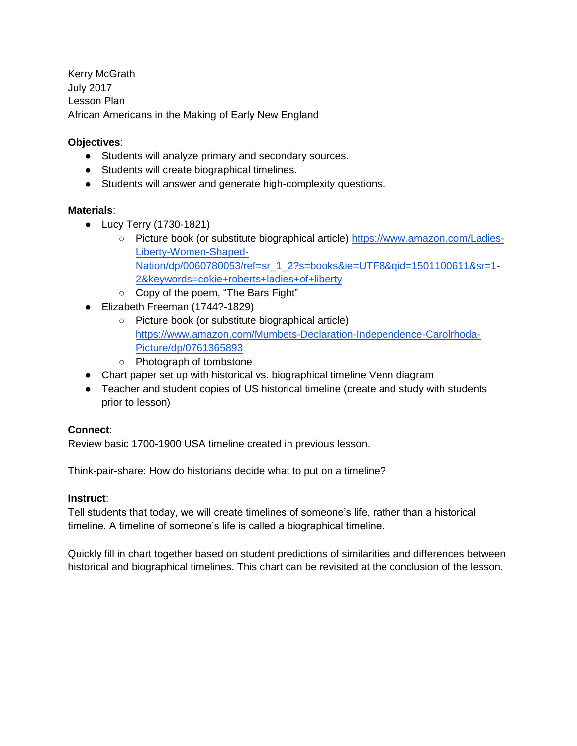Kerry McGrath July 2017 Lesson Plan African Americans in the Making of Early New England

# **Objectives**:

- Students will analyze primary and secondary sources.
- Students will create biographical timelines.
- Students will answer and generate high-complexity questions.

## **Materials**:

- Lucy Terry (1730-1821)
	- Picture book (or substitute biographical article) [https://www.amazon.com/Ladies-](https://www.amazon.com/Ladies-Liberty-Women-Shaped-Nation/dp/0060780053/ref=sr_1_2?s=books&ie=UTF8&qid=1501100611&sr=1-2&keywords=cokie+roberts+ladies+of+liberty)[Liberty-Women-Shaped-](https://www.amazon.com/Ladies-Liberty-Women-Shaped-Nation/dp/0060780053/ref=sr_1_2?s=books&ie=UTF8&qid=1501100611&sr=1-2&keywords=cokie+roberts+ladies+of+liberty)[Nation/dp/0060780053/ref=sr\\_1\\_2?s=books&ie=UTF8&qid=1501100611&sr=1-](https://www.amazon.com/Ladies-Liberty-Women-Shaped-Nation/dp/0060780053/ref=sr_1_2?s=books&ie=UTF8&qid=1501100611&sr=1-2&keywords=cokie+roberts+ladies+of+liberty) [2&keywords=cokie+roberts+ladies+of+liberty](https://www.amazon.com/Ladies-Liberty-Women-Shaped-Nation/dp/0060780053/ref=sr_1_2?s=books&ie=UTF8&qid=1501100611&sr=1-2&keywords=cokie+roberts+ladies+of+liberty)
- Copy of the poem, "The Bars Fight"
- Elizabeth Freeman (1744?-1829)
	- Picture book (or substitute biographical article) [https://www.amazon.com/Mumbets-Declaration-Independence-Carolrhoda-](https://www.amazon.com/Mumbets-Declaration-Independence-Carolrhoda-Picture/dp/0761365893)[Picture/dp/0761365893](https://www.amazon.com/Mumbets-Declaration-Independence-Carolrhoda-Picture/dp/0761365893)
	- Photograph of tombstone
- Chart paper set up with historical vs. biographical timeline Venn diagram
- Teacher and student copies of US historical timeline (create and study with students prior to lesson)

## **Connect**:

Review basic 1700-1900 USA timeline created in previous lesson.

Think-pair-share: How do historians decide what to put on a timeline?

## **Instruct**:

Tell students that today, we will create timelines of someone's life, rather than a historical timeline. A timeline of someone's life is called a biographical timeline.

Quickly fill in chart together based on student predictions of similarities and differences between historical and biographical timelines. This chart can be revisited at the conclusion of the lesson.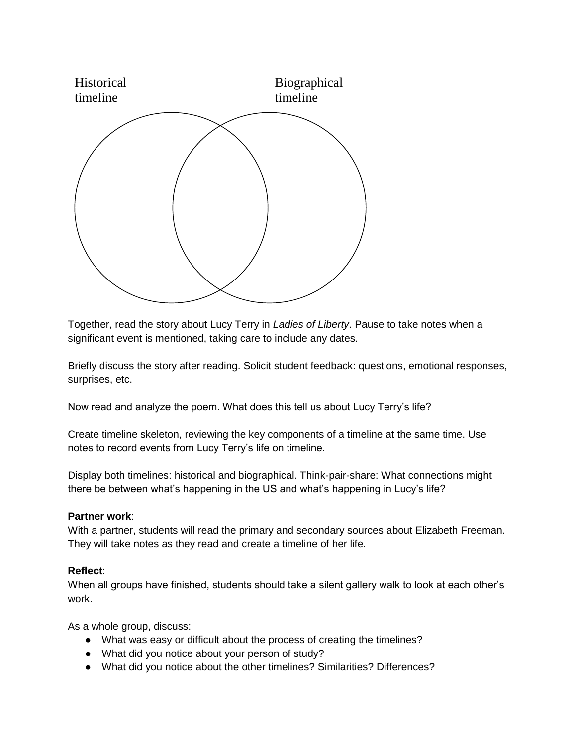

Together, read the story about Lucy Terry in *Ladies of Liberty*. Pause to take notes when a significant event is mentioned, taking care to include any dates.

Briefly discuss the story after reading. Solicit student feedback: questions, emotional responses, surprises, etc.

Now read and analyze the poem. What does this tell us about Lucy Terry's life?

Create timeline skeleton, reviewing the key components of a timeline at the same time. Use notes to record events from Lucy Terry's life on timeline.

Display both timelines: historical and biographical. Think-pair-share: What connections might there be between what's happening in the US and what's happening in Lucy's life?

#### **Partner work**:

With a partner, students will read the primary and secondary sources about Elizabeth Freeman. They will take notes as they read and create a timeline of her life.

#### **Reflect**:

When all groups have finished, students should take a silent gallery walk to look at each other's work.

As a whole group, discuss:

- What was easy or difficult about the process of creating the timelines?
- What did you notice about your person of study?
- What did you notice about the other timelines? Similarities? Differences?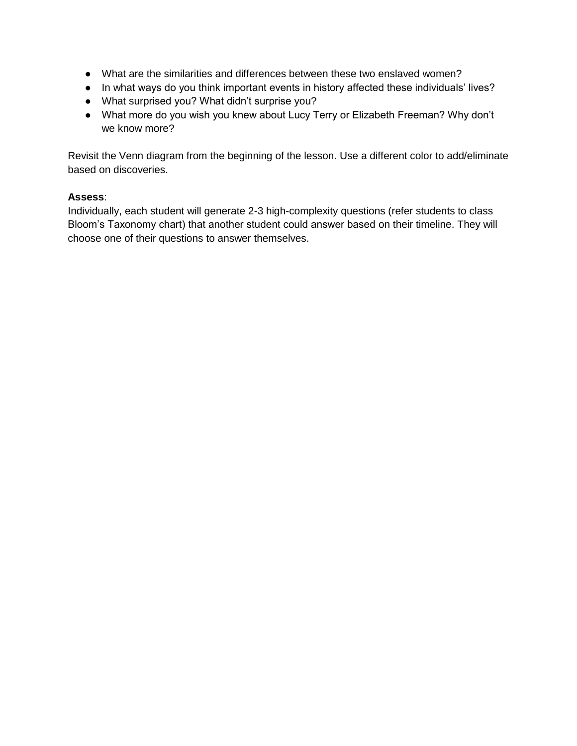- What are the similarities and differences between these two enslaved women?
- In what ways do you think important events in history affected these individuals' lives?
- What surprised you? What didn't surprise you?
- What more do you wish you knew about Lucy Terry or Elizabeth Freeman? Why don't we know more?

Revisit the Venn diagram from the beginning of the lesson. Use a different color to add/eliminate based on discoveries.

### **Assess**:

Individually, each student will generate 2-3 high-complexity questions (refer students to class Bloom's Taxonomy chart) that another student could answer based on their timeline. They will choose one of their questions to answer themselves.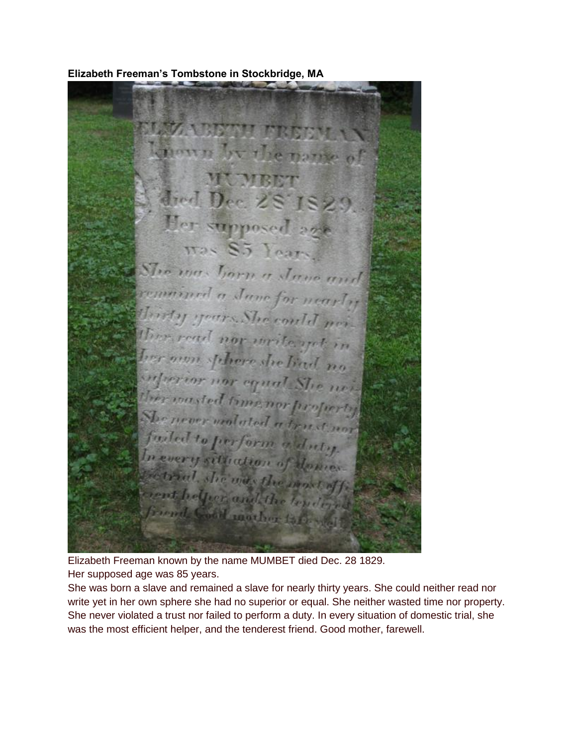**NAZA ABETH FREEW** longun by the name of **MUMBET** died Dec. 28 1829 Her supposed age Has S.5 Foars The max horn a Jane and remained a June for nearly Thirty yours. She could not ther read nor write yet in ber non sphere she had no infuerior nor equal She mi-Ther wasted time nor profectly She never wednesd a trust you fueled to perform adulty. In every situation of domes Betrial, she may the most off crent helper and the lender friend. Good marker to be wall

**Elizabeth Freeman's Tombstone in Stockbridge, MA**

Elizabeth Freeman known by the name MUMBET died Dec. 28 1829. Her supposed age was 85 years.

She was born a slave and remained a slave for nearly thirty years. She could neither read nor write yet in her own sphere she had no superior or equal. She neither wasted time nor property. She never violated a trust nor failed to perform a duty. In every situation of domestic trial, she was the most efficient helper, and the tenderest friend. Good mother, farewell.